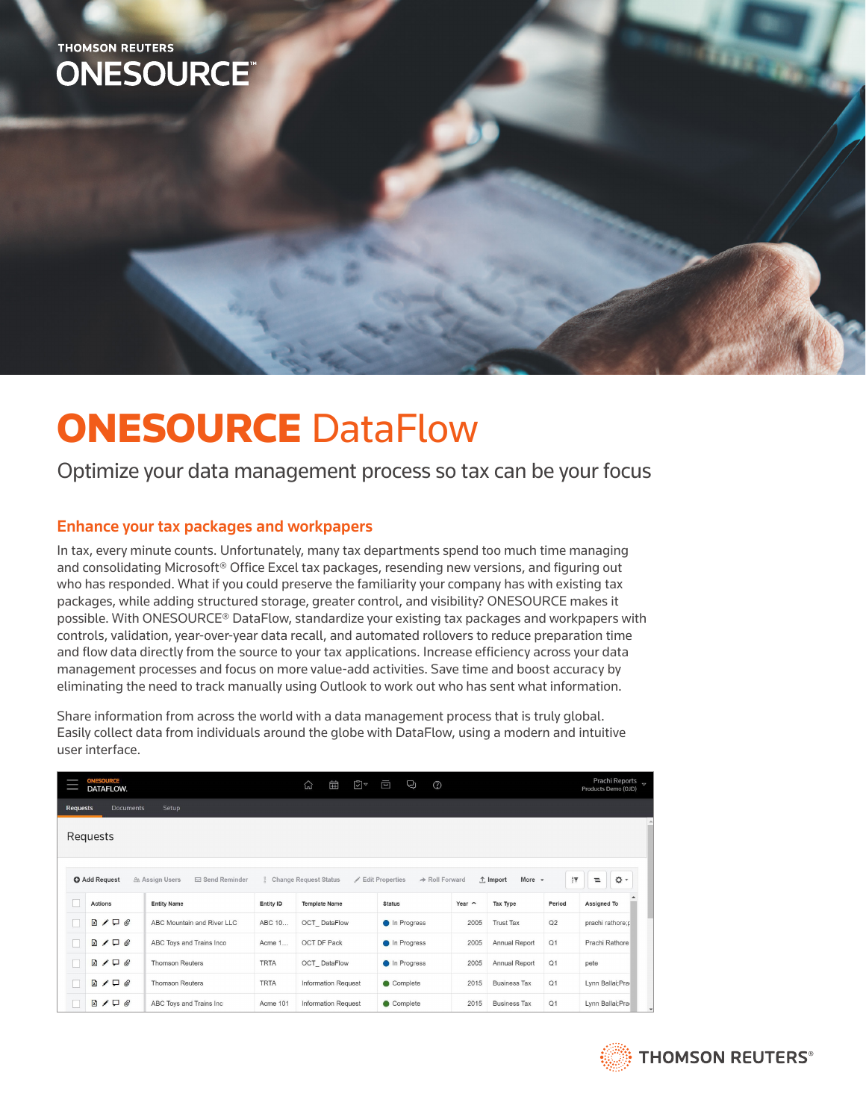# **THOMSON REUTERS ONESOURCE**

# **ONESOURCE DataFlow**

Optimize your data management process so tax can be your focus

# Enhance your tax packages and workpapers

In tax, every minute counts. Unfortunately, many tax departments spend too much time managing and consolidating Microsoft® Office Excel tax packages, resending new versions, and figuring out who has responded. What if you could preserve the familiarity your company has with existing tax packages, while adding structured storage, greater control, and visibility? ONESOURCE makes it possible. With ONESOURCE® DataFlow, standardize your existing tax packages and workpapers with controls, validation, year-over-year data recall, and automated rollovers to reduce preparation time and flow data directly from the source to your tax applications. Increase efficiency across your data management processes and focus on more value-add activities. Save time and boost accuracy by eliminating the need to track manually using Outlook to work out who has sent what information.

Share information from across the world with a data management process that is truly global. Easily collect data from individuals around the globe with DataFlow, using a modern and intuitive user interface.

| <b>ONESOURCE</b><br>DATAFLOW.                                                                                                                                                                          |                              |                            |             | 曲<br>신                     | ี⊡ิ∽<br>$\blacksquare$ | Q)            | $\circledcirc$ |                     |        | Prachi Reports v<br>Products Demo (OJD) |
|--------------------------------------------------------------------------------------------------------------------------------------------------------------------------------------------------------|------------------------------|----------------------------|-------------|----------------------------|------------------------|---------------|----------------|---------------------|--------|-----------------------------------------|
| <b>Documents</b><br>Setup<br><b>Requests</b>                                                                                                                                                           |                              |                            |             |                            |                        |               |                |                     |        |                                         |
| Requests                                                                                                                                                                                               |                              |                            |             |                            |                        |               |                |                     |        |                                         |
| ۰ ۵<br>$rac{A}{2}$<br>More $\sim$<br>$\equiv$<br>→ Roll Forward<br><b>O</b> Add Request<br>& Assign Users<br><b>⊠ Send Reminder</b><br>Change Request Status<br><b>∕ Edit Properties</b><br>$1$ Import |                              |                            |             |                            |                        |               |                |                     |        |                                         |
|                                                                                                                                                                                                        | Actions                      | <b>Entity Name</b>         | Entity ID   | <b>Template Name</b>       |                        | <b>Status</b> | Year $\sim$    | Tax Type            | Period | Assigned To                             |
| п                                                                                                                                                                                                      | $\Box$ $\Box$ $\Box$ $\odot$ | ABC Mountain and River LLC | ABC 10      | OCT DataFlow               |                        | In Progress   | 2005           | <b>Trust Tax</b>    | Q2     | prachi rathore;p                        |
| □                                                                                                                                                                                                      | $R / \Box Q$                 | ABC Toys and Trains Inco   | Acme 1      | OCT DF Pack                |                        | In Progress   | 2005           | Annual Report       | Q1     | Prachi Rathore                          |
| □                                                                                                                                                                                                      | $B / \Box$                   | <b>Thomson Reuters</b>     | <b>TRTA</b> | OCT DataFlow               |                        | In Progress   | 2005           | Annual Report       | Q1     | pete                                    |
| m                                                                                                                                                                                                      | $B / \Box$ e                 | <b>Thomson Reuters</b>     | <b>TRTA</b> | <b>Information Request</b> |                        | Complete      | 2015           | <b>Business Tax</b> | Q1     | Lynn Ballai; Pra                        |
|                                                                                                                                                                                                        | $\Box \neq \Box \oslash$     | ABC Toys and Trains Inc    | Acme 101    | <b>Information Request</b> |                        | Complete      | 2015           | <b>Business Tax</b> | Q1     | Lynn Ballai; Pra                        |